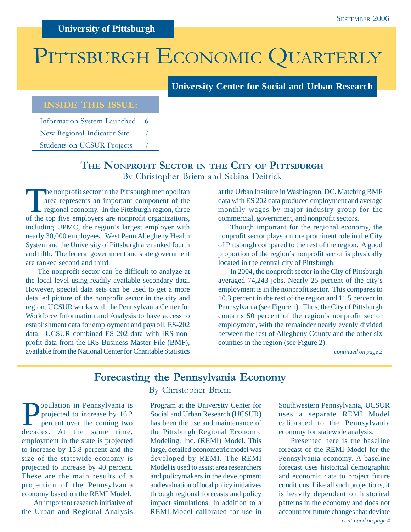# PITTSBURGH ECONOMIC QUARTERLY

**University Center for Social and Urban Research**

## **INSIDE THIS ISSUE:**

Information System Launched 6

New Regional Indicator Site 7

Students on UCSUR Projects 7

## **THE NONPROFIT SECTOR IN THE CITY OF PITTSBURGH** By Christopher Briem and Sabina Deitrick

The nonprofit sector in the Pittsburgh metropolitan area represents an important component of the regional economy. In the Pittsburgh region, three of the top five employers are nonprofit organizations, including UPMC, the region's largest employer with nearly 30,000 employees. West Penn Allegheny Health System and the University of Pittsburgh are ranked fourth and fifth. The federal government and state government are ranked second and third.

The nonprofit sector can be difficult to analyze at the local level using readily-available secondary data. However, special data sets can be used to get a more detailed picture of the nonprofit sector in the city and region. UCSUR works with the Pennsylvania Center for Workforce Information and Analysis to have access to establishment data for employment and payroll, ES-202 data. UCSUR combined ES 202 data with IRS nonprofit data from the IRS Business Master File (BMF), available from the National Center for Charitable Statistics

at the Urban Institute in Washington, DC. Matching BMF data with ES 202 data produced employment and average monthly wages by major industry group for the commercial, government, and nonprofit sectors.

Though important for the regional economy, the nonprofit sector plays a more prominent role in the City of Pittsburgh compared to the rest of the region. A good proportion of the region's nonprofit sector is physically located in the central city of Pittsburgh.

In 2004, the nonprofit sector in the City of Pittsburgh averaged 74,243 jobs. Nearly 25 percent of the city's employment is in the nonprofit sector. This compares to 10.3 percent in the rest of the region and 11.5 percent in Pennsylvania (see Figure 1). Thus, the City of Pittsburgh contains 50 percent of the region's nonprofit sector employment, with the remainder nearly evenly divided between the rest of Allegheny County and the other six counties in the region (see Figure 2).

*continued on page 2*

## **Forecasting the Pennsylvania Economy**

**Population in Pennsylvania is<br>projected to increase by 16.2**<br>percent over the coming two projected to increase by 16.2 percent over the coming two decades. At the same time, employment in the state is projected to increase by 15.8 percent and the size of the statewide economy is projected to increase by 40 percent. These are the main results of a projection of the Pennsylvania economy based on the REMI Model.

An important research initiative of the Urban and Regional Analysis

### By Christopher Briem

Program at the University Center for Social and Urban Research (UCSUR) has been the use and maintenance of the Pittsburgh Regional Economic Modeling, Inc. (REMI) Model. This large, detailed econometric model was developed by REMI. The REMI Model is used to assist area researchers and policymakers in the development and evaluation of local policy initiatives through regional forecasts and policy impact simulations. In addition to a REMI Model calibrated for use in

Southwestern Pennsylvania, UCSUR uses a separate REMI Model calibrated to the Pennsylvania economy for statewide analysis.

*continued on page 4* Presented here is the baseline forecast of the REMI Model for the Pennsylvania economy. A baseline forecast uses historical demographic and economic data to project future conditions. Like all such projections, it is heavily dependent on historical patterns in the economy and does not account for future changes that deviate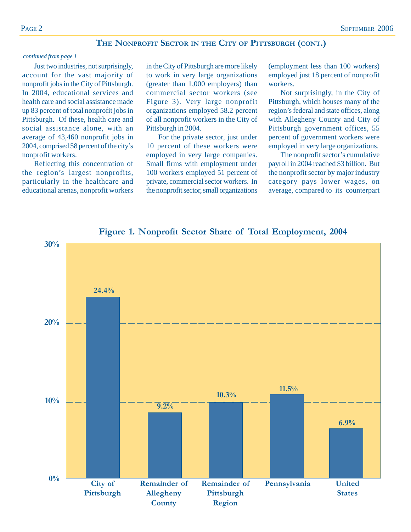#### **THE NONPROFIT SECTOR IN THE CITY OF PITTSBURGH (CONT.)**

#### *continued from page 1*

Just two industries, not surprisingly, account for the vast majority of nonprofit jobs in the City of Pittsburgh. In 2004, educational services and health care and social assistance made up 83 percent of total nonprofit jobs in Pittsburgh. Of these, health care and social assistance alone, with an average of 43,460 nonprofit jobs in 2004, comprised 58 percent of the city's nonprofit workers.

Reflecting this concentration of the region's largest nonprofits, particularly in the healthcare and educational arenas, nonprofit workers in the City of Pittsburgh are more likely to work in very large organizations (greater than 1,000 employers) than commercial sector workers (see Figure 3). Very large nonprofit organizations employed 58.2 percent of all nonprofit workers in the City of Pittsburgh in 2004.

For the private sector, just under 10 percent of these workers were employed in very large companies. Small firms with employment under 100 workers employed 51 percent of private, commercial sector workers. In the nonprofit sector, small organizations (employment less than 100 workers) employed just 18 percent of nonprofit workers.

Not surprisingly, in the City of Pittsburgh, which houses many of the region's federal and state offices, along with Allegheny County and City of Pittsburgh government offices, 55 percent of government workers were employed in very large organizations.

The nonprofit sector's cumulative payroll in 2004 reached \$3 billion. But the nonprofit sector by major industry category pays lower wages, on average, compared to its counterpart



**Figure 1. Nonprofit Sector Share of Total Employment, 2004**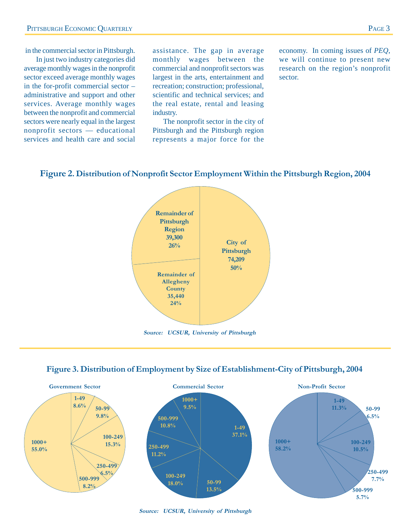#### in the commercial sector in Pittsburgh.

In just two industry categories did average monthly wages in the nonprofit sector exceed average monthly wages in the for-profit commercial sector – administrative and support and other services. Average monthly wages between the nonprofit and commercial sectors were nearly equal in the largest nonprofit sectors — educational services and health care and social

assistance. The gap in average monthly wages between the commercial and nonprofit sectors was largest in the arts, entertainment and recreation; construction; professional, scientific and technical services; and the real estate, rental and leasing industry.

The nonprofit sector in the city of Pittsburgh and the Pittsburgh region represents a major force for the

economy. In coming issues of *PEQ*, we will continue to present new research on the region's nonprofit sector.

#### **Figure 2. Distribution of Nonprofit Sector Employment Within the Pittsburgh Region, 2004**



**Source: UCSUR, University of Pittsburgh**





**Source: UCSUR, University of Pittsburgh**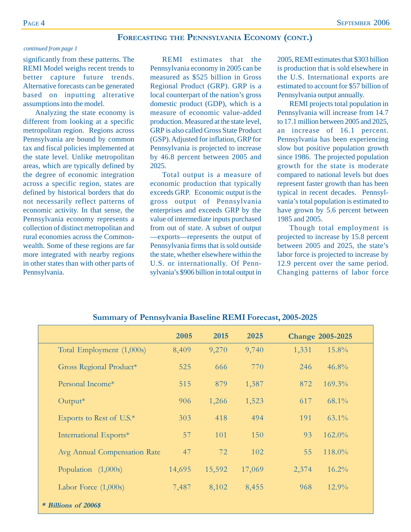#### **FORECASTING THE PENNSYLVANIA ECONOMY (CONT.)**

#### *continued from page 1*

significantly from these patterns. The REMI Model weighs recent trends to better capture future trends. Alternative forecasts can be generated based on inputting alterative assumptions into the model.

Analyzing the state economy is different from looking at a specific metropolitan region. Regions across Pennsylvania are bound by common tax and fiscal policies implemented at the state level. Unlike metropolitan areas, which are typically defined by the degree of economic integration across a specific region, states are defined by historical borders that do not necessarily reflect patterns of economic activity. In that sense, the Pennsylvania economy represents a collection of distinct metropolitan and rural economies across the Commonwealth. Some of these regions are far more integrated with nearby regions in other states than with other parts of Pennsylvania.

REMI estimates that the Pennsylvania economy in 2005 can be measured as \$525 billion in Gross Regional Product (GRP). GRP is a local counterpart of the nation's gross domestic product (GDP), which is a measure of economic value-added production. Measured at the state level, GRP is also called Gross State Product (GSP). Adjusted for inflation, GRP for Pennsylvania is projected to increase by 46.8 percent between 2005 and 2025.

Total output is a measure of economic production that typically exceeds GRP. Economic output is the gross output of Pennsylvania enterprises and exceeds GRP by the value of intermediate inputs purchased from out of state. A subset of output —exports—represents the output of Pennsylvania firms that is sold outside the state, whether elsewhere within the U.S. or internationally. Of Pennsylvania's \$906 billion in total output in

2005, REMI estimates that \$303 billion is production that is sold elsewhere in the U.S. International exports are estimated to account for \$57 billion of Pennsylvania output annually.

REMI projects total population in Pennsylvania will increase from 14.7 to 17.1 million between 2005 and 2025, an increase of 16.1 percent. Pennsylvania has been experiencing slow but positive population growth since 1986. The projected population growth for the state is moderate compared to national levels but does represent faster growth than has been typical in recent decades. Pennsylvania's total population is estimated to have grown by 5.6 percent between 1985 and 2005.

Though total employment is projected to increase by 15.8 percent between 2005 and 2025, the state's labor force is projected to increase by 12.9 percent over the same period. Changing patterns of labor force

|                              | 2005   | 2015   | 2025   | <b>Change 2005-2025</b> |
|------------------------------|--------|--------|--------|-------------------------|
| Total Employment (1,000s)    | 8,409  | 9,270  | 9,740  | 15.8%<br>1,331          |
| Gross Regional Product*      | 525    | 666    | 770    | 246<br>$46.8\%$         |
| Personal Income*             | 515    | 879    | 1,387  | 169.3%<br>872           |
| $Output*$                    | 906    | 1,266  | 1,523  | $68.1\%$<br>617         |
| Exports to Rest of U.S.*     | 303    | 418    | 494    | 191<br>$63.1\%$         |
| International Exports*       | 57     | 101    | 150    | 162.0%<br>93            |
| Avg Annual Compensation Rate | 47     | 72     | 102    | 118.0%<br>55            |
| Population $(1,000s)$        | 14,695 | 15,592 | 17,069 | $16.2\%$<br>2,374       |
| Labor Force $(1,000s)$       | 7,487  | 8,102  | 8,455  | $12.9\%$<br>968         |
| * Billions of 2006\$         |        |        |        |                         |

#### **Summary of Pennsylvania Baseline REMI Forecast, 2005-2025**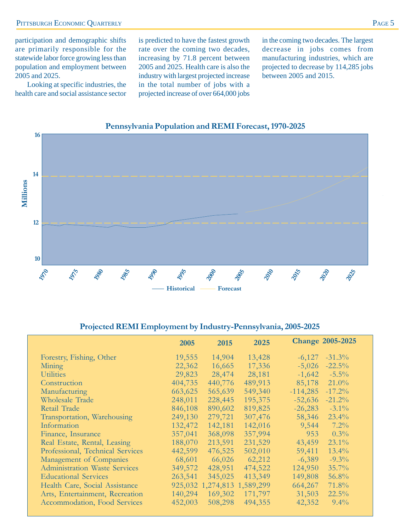participation and demographic shifts are primarily responsible for the statewide labor force growing less than population and employment between 2005 and 2025.

Looking at specific industries, the health care and social assistance sector is predicted to have the fastest growth rate over the coming two decades, increasing by 71.8 percent between 2005 and 2025. Health care is also the industry with largest projected increase in the total number of jobs with a projected increase of over 664,000 jobs

in the coming two decades. The largest decrease in jobs comes from manufacturing industries, which are projected to decrease by 114,285 jobs between 2005 and 2015.



#### **Pennsylvania Population and REMI Forecast, 1970-2025**

#### **Projected REMI Employment by Industry-Pennsylvania, 2005-2025**

|                                      | 2005    | 2015                        | 2025    |            | <b>Change 2005-2025</b> |
|--------------------------------------|---------|-----------------------------|---------|------------|-------------------------|
| Forestry, Fishing, Other             | 19,555  | 14,904                      | 13,428  | $-6,127$   | $-31.3\%$               |
| Mining                               | 22,362  | 16,665                      | 17,336  | $-5,026$   | $-22.5%$                |
| <b>Utilities</b>                     | 29,823  | 28,474                      | 28,181  | $-1,642$   | $-5.5\%$                |
| Construction                         | 404,735 | 440,776                     | 489,913 | 85,178     | $21.0\%$                |
| Manufacturing                        | 663,625 | 565,639                     | 549,340 | $-114,285$ | $-17.2%$                |
| <b>Wholesale Trade</b>               | 248,011 | 228,445                     | 195,375 | $-52,636$  | $-21.2%$                |
| Retail Trade                         | 846,108 | 890,602                     | 819,825 | $-26,283$  | $-3.1\%$                |
| Transportation, Warehousing          | 249,130 | 279,721                     | 307,476 | 58,346     | 23.4%                   |
| Information                          | 132,472 | 142,181                     | 142,016 | 9,544      | 7.2%                    |
| Finance, Insurance                   | 357,041 | 368,098                     | 357,994 | 953        | $0.3\%$                 |
| Real Estate, Rental, Leasing         | 188,070 | 213,591                     | 231,529 | 43,459     | $23.1\%$                |
| Professional, Technical Services     | 442,599 | 476,525                     | 502,010 | 59,411     | $13.4\%$                |
| Management of Companies              | 68,601  | 66,026                      | 62,212  | $-6,389$   | $-9.3\%$                |
| <b>Administration Waste Services</b> | 349,572 | 428,951                     | 474,522 | 124,950    | 35.7%                   |
| <b>Educational Services</b>          | 263,541 | 345,025                     | 413,349 | 149,808    | 56.8%                   |
| Health Care, Social Assistance       |         | 925,032 1,274,813 1,589,299 |         | 664,267    | 71.8%                   |
| Arts, Entertainment, Recreation      | 140,294 | 169,302                     | 171,797 | 31,503     | 22.5%                   |
| Accommodation, Food Services         | 452,003 | 508,298                     | 494,355 | 42,352     | $9.4\%$                 |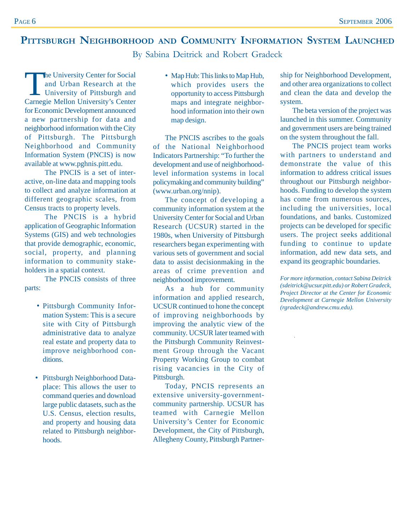## **PITTSBURGH NEIGHBORHOOD AND COMMUNITY INFORMATION SYSTEM LAUNCHED**

By Sabina Deitrick and Robert Gradeck

The University Center for Social<br>
and Urban Research at the<br>
University of Pittsburgh and<br>
Cornecio Mellon University's Conter and Urban Research at the Carnegie Mellon University's Center for Economic Development announced a new partnership for data and neighborhood information with the City of Pittsburgh. The Pittsburgh Neighborhood and Community Information System (PNCIS) is now available at www.pghnis.pitt.edu.

The PNCIS is a set of interactive, on-line data and mapping tools to collect and analyze information at different geographic scales, from Census tracts to property levels.

The PNCIS is a hybrid application of Geographic Information Systems (GIS) and web technologies that provide demographic, economic, social, property, and planning information to community stakeholders in a spatial context.

The PNCIS consists of three parts:

- Pittsburgh Community Information System: This is a secure site with City of Pittsburgh administrative data to analyze real estate and property data to improve neighborhood conditions.
- Pittsburgh Neighborhood Dataplace: This allows the user to command queries and download large public datasets, such as the U.S. Census, election results, and property and housing data related to Pittsburgh neighborhoods.

• Map Hub: This links to Map Hub, which provides users the opportunity to access Pittsburgh maps and integrate neighborhood information into their own map design.

The PNCIS ascribes to the goals of the National Neighborhood Indicators Partnership: "To further the development and use of neighborhoodlevel information systems in local policymaking and community building" (www.urban.org/nnip).

The concept of developing a community information system at the University Center for Social and Urban Research (UCSUR) started in the 1980s, when University of Pittsburgh researchers began experimenting with various sets of government and social data to assist decisionmaking in the areas of crime prevention and neighborhood improvement.

As a hub for community information and applied research, UCSUR continued to hone the concept of improving neighborhoods by improving the analytic view of the community. UCSUR later teamed with the Pittsburgh Community Reinvestment Group through the Vacant Property Working Group to combat rising vacancies in the City of Pittsburgh.

Today, PNCIS represents an extensive university-governmentcommunity partnership. UCSUR has teamed with Carnegie Mellon University's Center for Economic Development, the City of Pittsburgh, Allegheny County, Pittsburgh Partner-

ship for Neighborhood Development, and other area organizations to collect and clean the data and develop the system.

The beta version of the project was launched in this summer. Community and government users are being trained on the system throughout the fall.

The PNCIS project team works with partners to understand and demonstrate the value of this information to address critical issues throughout our Pittsburgh neighborhoods. Funding to develop the system has come from numerous sources, including the universities, local foundations, and banks. Customized projects can be developed for specific users. The project seeks additional funding to continue to update information, add new data sets, and expand its geographic boundaries.

*For more information, contact Sabina Deitrick (sdeitrick@ucsur.pitt.edu) or Robert Gradeck, Project Director at the Center for Economic Development at Carnegie Mellon University (rgradeck@andrew.cmu.edu).*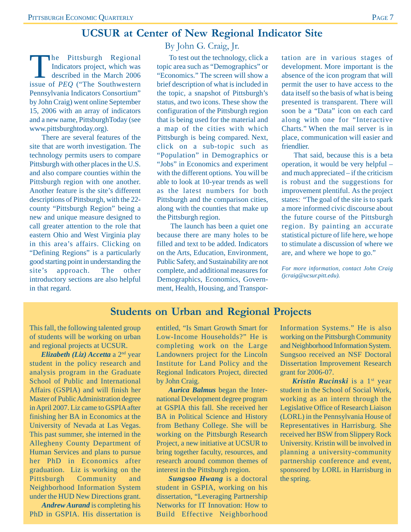## **UCSUR at Center of New Regional Indicator Site**

The Pittsburgh Regional<br>Indicators project, which was<br>described in the March 2006 Indicators project, which was described in the March 2006 issue of *PEQ* ("The Southwestern Pennsylvania Indicators Consortium" by John Craig) went online September 15, 2006 with an array of indicators and a new name, PittsburghToday (see www.pittsburghtoday.org).

There are several features of the site that are worth investigation. The technology permits users to compare Pittsburgh with other places in the U.S. and also compare counties within the Pittsburgh region with one another. Another feature is the site's different descriptions of Pittsburgh, with the 22 county "Pittsburgh Region" being a new and unique measure designed to call greater attention to the role that eastern Ohio and West Virginia play in this area's affairs. Clicking on "Defining Regions" is a particularly good starting point in understanding the site's approach. The other introductory sections are also helpful in that regard.

By John G. Craig, Jr.

To test out the technology, click a topic area such as "Demographics" or "Economics." The screen will show a brief description of what is included in the topic, a snapshot of Pittsburgh's status, and two icons. These show the configuration of the Pittsburgh region that is being used for the material and a map of the cities with which Pittsburgh is being compared. Next, click on a sub-topic such as "Population" in Demographics or "Jobs" in Economics and experiment with the different options. You will be able to look at 10-year trends as well as the latest numbers for both Pittsburgh and the comparison cities, along with the counties that make up the Pittsburgh region.

The launch has been a quiet one because there are many holes to be filled and text to be added. Indicators on the Arts, Education, Environment, Public Safety, and Sustainability are not complete, and additional measures for Demographics, Economics, Government, Health, Housing, and Transportation are in various stages of development. More important is the absence of the icon program that will permit the user to have access to the data itself so the basis of what is being presented is transparent. There will soon be a "Data" icon on each card along with one for "Interactive Charts." When the mail server is in place, communication will easier and friendlier.

That said, because this is a beta operation, it would be very helpful – and much appreciated – if the criticism is robust and the suggestions for improvement plentiful. As the project states: "The goal of the site is to spark a more informed civic discourse about the future course of the Pittsburgh region. By painting an accurate statistical picture of life here, we hope to stimulate a discussion of where we are, and where we hope to go."

*For more information, contact John Craig (jcraig@ucsur.pitt.edu).*

## **Students on Urban and Regional Projects**

This fall, the following talented group of students will be working on urban and regional projects at UCSUR.

 *Elizabeth (Liz) Accetta* a 2nd year student in the policy research and analysis program in the Graduate School of Public and International Affairs (GSPIA) and will finish her Master of Public Administration degree in April 2007. Liz came to GSPIA after finishing her BA in Economics at the University of Nevada at Las Vegas. This past summer, she interned in the Allegheny County Department of Human Services and plans to pursue her PhD in Economics after graduation. Liz is working on the Pittsburgh Community and Neighborhood Information System under the HUD New Directions grant.

*Andrew Aurand* is completing his PhD in GSPIA. His dissertation is entitled, "Is Smart Growth Smart for Low-Income Households?" He is completing work on the Large Landowners project for the Lincoln Institute for Land Policy and the Regional Indicators Project, directed by John Craig.

*Aurica Balmus* began the International Development degree program at GSPIA this fall. She received her BA in Political Science and History from Bethany College. She will be working on the Pittsburgh Research Project, a new initiative at UCSUR to bring together faculty, resources, and research around common themes of interest in the Pittsburgh region.

*Sungsoo Hwang* is a doctoral student in GSPIA, working on his dissertation, "Leveraging Partnership Networks for IT Innovation: How to Build Effective Neighborhood Information Systems." He is also working on the Pittsburgh Community and Neighborhood Information System. Sungsoo received an NSF Doctoral Dissertation Improvement Research grant for 2006-07.

*Kristin Rucinski* is a 1st year student in the School of Social Work, working as an intern through the Legislative Office of Research Liaison (LORL) in the Pennsylvania House of Representatives in Harrisburg. She received her BSW from Slippery Rock University. Kristin will be involved in planning a university-community partnership conference and event, sponsored by LORL in Harrisburg in the spring.